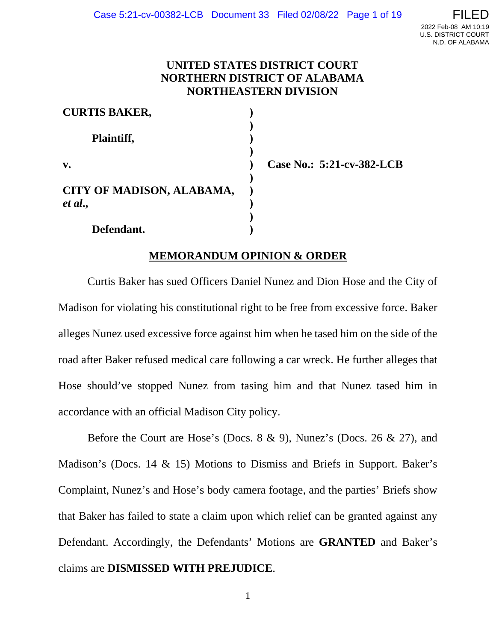# **UNITED STATES DISTRICT COURT NORTHERN DISTRICT OF ALABAMA NORTHEASTERN DIVISION**

| <b>CURTIS BAKER,</b>                 |  |
|--------------------------------------|--|
| Plaintiff,                           |  |
| $\mathbf{v}$ .                       |  |
| CITY OF MADISON, ALABAMA,<br>et al., |  |
| Defendant.                           |  |

**Case No.: 5:21-cv-382-LCB**

# **MEMORANDUM OPINION & ORDER**

Curtis Baker has sued Officers Daniel Nunez and Dion Hose and the City of Madison for violating his constitutional right to be free from excessive force. Baker alleges Nunez used excessive force against him when he tased him on the side of the road after Baker refused medical care following a car wreck. He further alleges that Hose should've stopped Nunez from tasing him and that Nunez tased him in accordance with an official Madison City policy.

Before the Court are Hose's (Docs. 8 & 9), Nunez's (Docs. 26 & 27), and Madison's (Docs. 14 & 15) Motions to Dismiss and Briefs in Support. Baker's Complaint, Nunez's and Hose's body camera footage, and the parties' Briefs show that Baker has failed to state a claim upon which relief can be granted against any Defendant. Accordingly, the Defendants' Motions are **GRANTED** and Baker's claims are **DISMISSED WITH PREJUDICE**.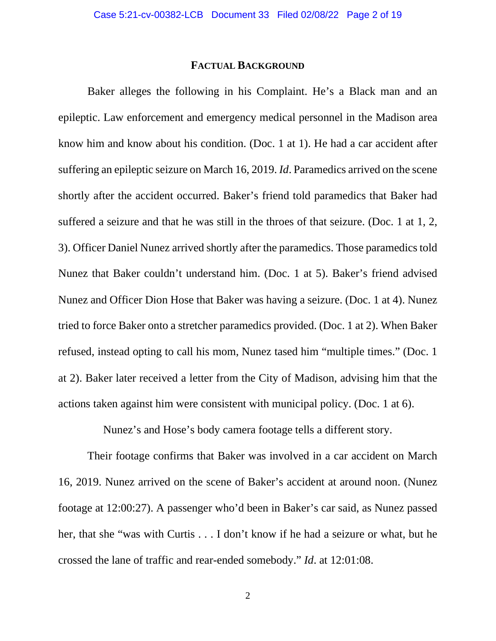## **FACTUAL BACKGROUND**

Baker alleges the following in his Complaint. He's a Black man and an epileptic. Law enforcement and emergency medical personnel in the Madison area know him and know about his condition. (Doc. 1 at 1). He had a car accident after suffering an epileptic seizure on March 16, 2019. *Id*. Paramedics arrived on the scene shortly after the accident occurred. Baker's friend told paramedics that Baker had suffered a seizure and that he was still in the throes of that seizure. (Doc. 1 at 1, 2, 3). Officer Daniel Nunez arrived shortly after the paramedics. Those paramedics told Nunez that Baker couldn't understand him. (Doc. 1 at 5). Baker's friend advised Nunez and Officer Dion Hose that Baker was having a seizure. (Doc. 1 at 4). Nunez tried to force Baker onto a stretcher paramedics provided. (Doc. 1 at 2). When Baker refused, instead opting to call his mom, Nunez tased him "multiple times." (Doc. 1 at 2). Baker later received a letter from the City of Madison, advising him that the actions taken against him were consistent with municipal policy. (Doc. 1 at 6).

Nunez's and Hose's body camera footage tells a different story.

Their footage confirms that Baker was involved in a car accident on March 16, 2019. Nunez arrived on the scene of Baker's accident at around noon. (Nunez footage at 12:00:27). A passenger who'd been in Baker's car said, as Nunez passed her, that she "was with Curtis . . . I don't know if he had a seizure or what, but he crossed the lane of traffic and rear-ended somebody." *Id*. at 12:01:08.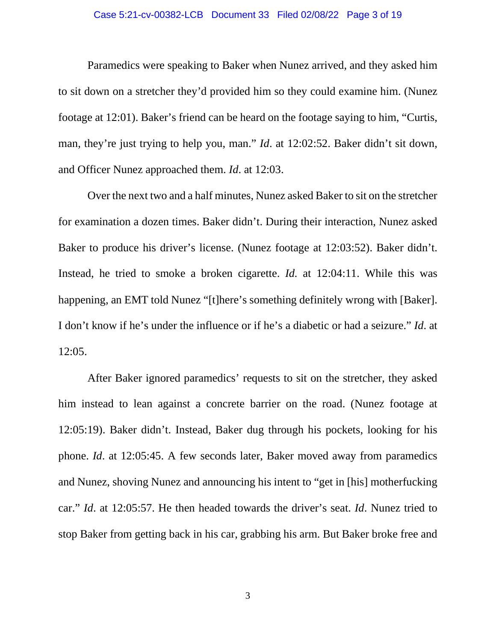#### Case 5:21-cv-00382-LCB Document 33 Filed 02/08/22 Page 3 of 19

Paramedics were speaking to Baker when Nunez arrived, and they asked him to sit down on a stretcher they'd provided him so they could examine him. (Nunez footage at 12:01). Baker's friend can be heard on the footage saying to him, "Curtis, man, they're just trying to help you, man." *Id*. at 12:02:52. Baker didn't sit down, and Officer Nunez approached them. *Id*. at 12:03.

Over the next two and a half minutes, Nunez asked Baker to sit on the stretcher for examination a dozen times. Baker didn't. During their interaction, Nunez asked Baker to produce his driver's license. (Nunez footage at 12:03:52). Baker didn't. Instead, he tried to smoke a broken cigarette. *Id.* at 12:04:11. While this was happening, an EMT told Nunez "[t]here's something definitely wrong with [Baker]. I don't know if he's under the influence or if he's a diabetic or had a seizure." *Id*. at 12:05.

After Baker ignored paramedics' requests to sit on the stretcher, they asked him instead to lean against a concrete barrier on the road. (Nunez footage at 12:05:19). Baker didn't. Instead, Baker dug through his pockets, looking for his phone. *Id*. at 12:05:45. A few seconds later, Baker moved away from paramedics and Nunez, shoving Nunez and announcing his intent to "get in [his] motherfucking car." *Id*. at 12:05:57. He then headed towards the driver's seat. *Id*. Nunez tried to stop Baker from getting back in his car, grabbing his arm. But Baker broke free and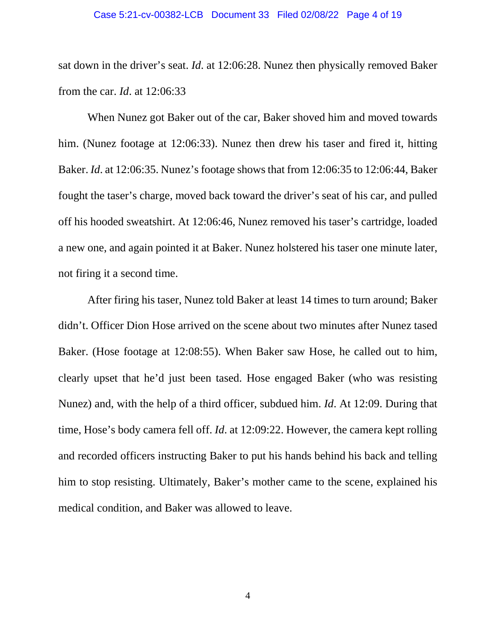#### Case 5:21-cv-00382-LCB Document 33 Filed 02/08/22 Page 4 of 19

sat down in the driver's seat. *Id*. at 12:06:28. Nunez then physically removed Baker from the car. *Id*. at 12:06:33

When Nunez got Baker out of the car, Baker shoved him and moved towards him. (Nunez footage at 12:06:33). Nunez then drew his taser and fired it, hitting Baker. *Id*. at 12:06:35. Nunez's footage shows that from 12:06:35 to 12:06:44, Baker fought the taser's charge, moved back toward the driver's seat of his car, and pulled off his hooded sweatshirt. At 12:06:46, Nunez removed his taser's cartridge, loaded a new one, and again pointed it at Baker. Nunez holstered his taser one minute later, not firing it a second time.

After firing his taser, Nunez told Baker at least 14 times to turn around; Baker didn't. Officer Dion Hose arrived on the scene about two minutes after Nunez tased Baker. (Hose footage at 12:08:55). When Baker saw Hose, he called out to him, clearly upset that he'd just been tased. Hose engaged Baker (who was resisting Nunez) and, with the help of a third officer, subdued him. *Id*. At 12:09. During that time, Hose's body camera fell off. *Id*. at 12:09:22. However, the camera kept rolling and recorded officers instructing Baker to put his hands behind his back and telling him to stop resisting. Ultimately, Baker's mother came to the scene, explained his medical condition, and Baker was allowed to leave.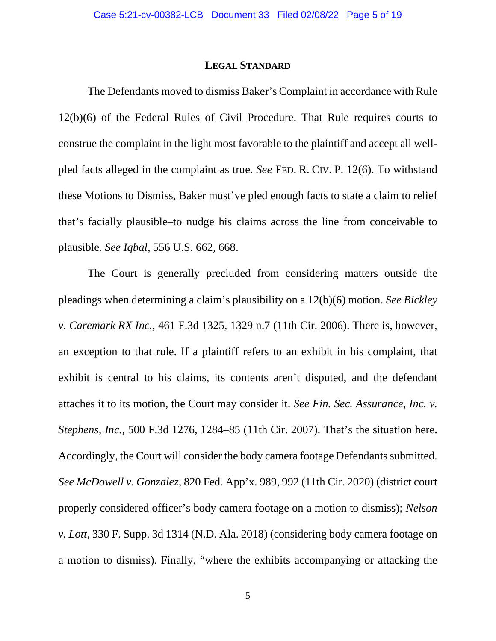#### **LEGAL STANDARD**

The Defendants moved to dismiss Baker's Complaint in accordance with Rule 12(b)(6) of the Federal Rules of Civil Procedure. That Rule requires courts to construe the complaint in the light most favorable to the plaintiff and accept all wellpled facts alleged in the complaint as true. *See* FED. R. CIV. P. 12(6). To withstand these Motions to Dismiss, Baker must've pled enough facts to state a claim to relief that's facially plausible–to nudge his claims across the line from conceivable to plausible. *See Iqbal*, 556 U.S. 662, 668.

The Court is generally precluded from considering matters outside the pleadings when determining a claim's plausibility on a 12(b)(6) motion. *See Bickley v. Caremark RX Inc.*, 461 F.3d 1325, 1329 n.7 (11th Cir. 2006). There is, however, an exception to that rule. If a plaintiff refers to an exhibit in his complaint, that exhibit is central to his claims, its contents aren't disputed, and the defendant attaches it to its motion, the Court may consider it. *See Fin. Sec. Assurance, Inc. v. Stephens, Inc.*, 500 F.3d 1276, 1284–85 (11th Cir. 2007). That's the situation here. Accordingly, the Court will consider the body camera footage Defendants submitted. *See McDowell v. Gonzalez*, 820 Fed. App'x. 989, 992 (11th Cir. 2020) (district court properly considered officer's body camera footage on a motion to dismiss); *Nelson v. Lott*, 330 F. Supp. 3d 1314 (N.D. Ala. 2018) (considering body camera footage on a motion to dismiss). Finally, "where the exhibits accompanying or attacking the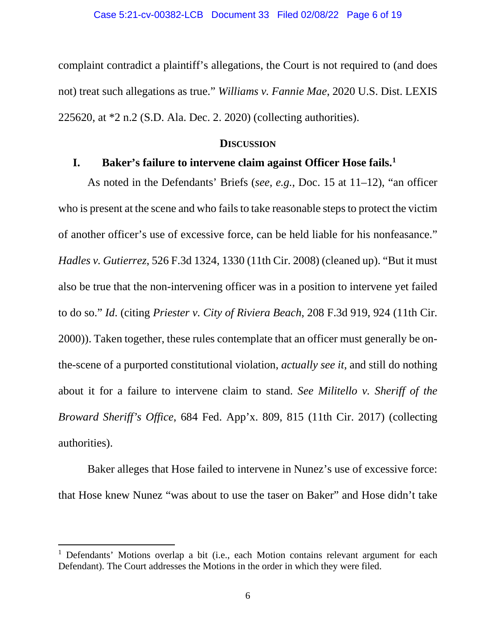complaint contradict a plaintiff's allegations, the Court is not required to (and does not) treat such allegations as true." *Williams v. Fannie Mae*, 2020 U.S. Dist. LEXIS 225620, at \*2 n.2 (S.D. Ala. Dec. 2. 2020) (collecting authorities).

### **DISCUSSION**

# **I. Baker's failure to intervene claim against Officer Hose fails.[1](#page-5-0)**

As noted in the Defendants' Briefs (*see, e.g.*, Doc. 15 at 11–12), "an officer who is present at the scene and who fails to take reasonable steps to protect the victim of another officer's use of excessive force, can be held liable for his nonfeasance." *Hadles v. Gutierrez*, 526 F.3d 1324, 1330 (11th Cir. 2008) (cleaned up). "But it must also be true that the non-intervening officer was in a position to intervene yet failed to do so." *Id*. (citing *Priester v. City of Riviera Beach*, 208 F.3d 919, 924 (11th Cir. 2000)). Taken together, these rules contemplate that an officer must generally be onthe-scene of a purported constitutional violation, *actually see it*, and still do nothing about it for a failure to intervene claim to stand. *See Militello v. Sheriff of the Broward Sheriff's Office*, 684 Fed. App'x. 809, 815 (11th Cir. 2017) (collecting authorities).

Baker alleges that Hose failed to intervene in Nunez's use of excessive force: that Hose knew Nunez "was about to use the taser on Baker" and Hose didn't take

<span id="page-5-0"></span><sup>&</sup>lt;sup>1</sup> Defendants' Motions overlap a bit (i.e., each Motion contains relevant argument for each Defendant). The Court addresses the Motions in the order in which they were filed.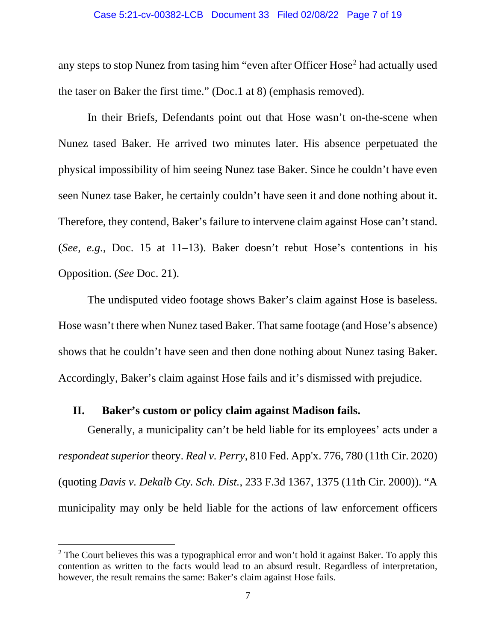#### Case 5:21-cv-00382-LCB Document 33 Filed 02/08/22 Page 7 of 19

any steps to stop Nunez from tasing him "even after Officer Hose<sup>[2](#page-6-0)</sup> had actually used the taser on Baker the first time." (Doc.1 at 8) (emphasis removed).

In their Briefs, Defendants point out that Hose wasn't on-the-scene when Nunez tased Baker. He arrived two minutes later. His absence perpetuated the physical impossibility of him seeing Nunez tase Baker. Since he couldn't have even seen Nunez tase Baker, he certainly couldn't have seen it and done nothing about it. Therefore, they contend, Baker's failure to intervene claim against Hose can't stand. (*See, e.g.*, Doc. 15 at 11–13). Baker doesn't rebut Hose's contentions in his Opposition. (*See* Doc. 21).

The undisputed video footage shows Baker's claim against Hose is baseless. Hose wasn't there when Nunez tased Baker. That same footage (and Hose's absence) shows that he couldn't have seen and then done nothing about Nunez tasing Baker. Accordingly, Baker's claim against Hose fails and it's dismissed with prejudice.

# **II. Baker's custom or policy claim against Madison fails.**

Generally, a municipality can't be held liable for its employees' acts under a *respondeat superior* theory. *Real v. Perry*, 810 Fed. App'x. 776, 780 (11th Cir. 2020) (quoting *Davis v. Dekalb Cty. Sch. Dist.*, 233 F.3d 1367, 1375 (11th Cir. 2000)). "A municipality may only be held liable for the actions of law enforcement officers

<span id="page-6-0"></span> $2$  The Court believes this was a typographical error and won't hold it against Baker. To apply this contention as written to the facts would lead to an absurd result. Regardless of interpretation, however, the result remains the same: Baker's claim against Hose fails.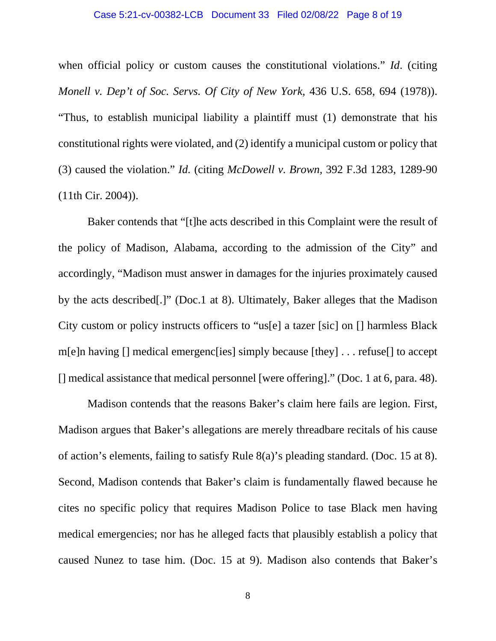#### Case 5:21-cv-00382-LCB Document 33 Filed 02/08/22 Page 8 of 19

when official policy or custom causes the constitutional violations." *Id*. (citing *Monell v. Dep't of Soc. Servs. Of City of New York*, 436 U.S. 658, 694 (1978)). "Thus, to establish municipal liability a plaintiff must (1) demonstrate that his constitutional rights were violated, and (2) identify a municipal custom or policy that (3) caused the violation." *Id.* (citing *McDowell v. Brown,* 392 F.3d 1283, 1289-90 (11th Cir. 2004)).

Baker contends that "[t]he acts described in this Complaint were the result of the policy of Madison, Alabama, according to the admission of the City" and accordingly, "Madison must answer in damages for the injuries proximately caused by the acts described[.]" (Doc.1 at 8). Ultimately, Baker alleges that the Madison City custom or policy instructs officers to "us[e] a tazer [sic] on [] harmless Black m[e]n having [] medical emergenc[ies] simply because [they] . . . refuse[] to accept [] medical assistance that medical personnel [were offering]." (Doc. 1 at 6, para. 48).

Madison contends that the reasons Baker's claim here fails are legion. First, Madison argues that Baker's allegations are merely threadbare recitals of his cause of action's elements, failing to satisfy Rule 8(a)'s pleading standard. (Doc. 15 at 8). Second, Madison contends that Baker's claim is fundamentally flawed because he cites no specific policy that requires Madison Police to tase Black men having medical emergencies; nor has he alleged facts that plausibly establish a policy that caused Nunez to tase him. (Doc. 15 at 9). Madison also contends that Baker's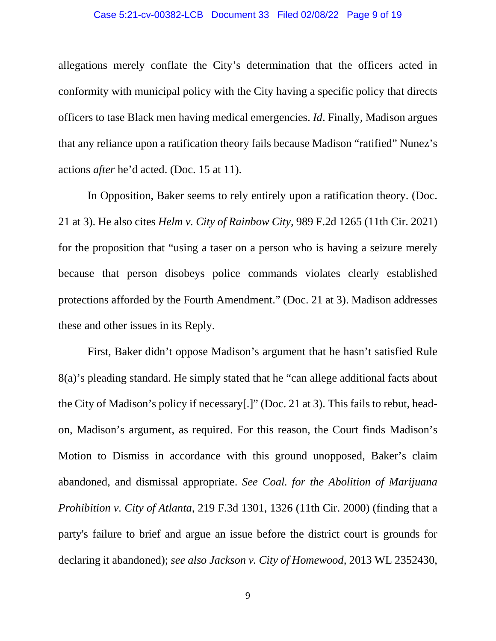allegations merely conflate the City's determination that the officers acted in conformity with municipal policy with the City having a specific policy that directs officers to tase Black men having medical emergencies. *Id*. Finally, Madison argues that any reliance upon a ratification theory fails because Madison "ratified" Nunez's actions *after* he'd acted. (Doc. 15 at 11).

In Opposition, Baker seems to rely entirely upon a ratification theory. (Doc. 21 at 3). He also cites *Helm v. City of Rainbow City,* 989 F.2d 1265 (11th Cir. 2021) for the proposition that "using a taser on a person who is having a seizure merely because that person disobeys police commands violates clearly established protections afforded by the Fourth Amendment." (Doc. 21 at 3). Madison addresses these and other issues in its Reply.

First, Baker didn't oppose Madison's argument that he hasn't satisfied Rule 8(a)'s pleading standard. He simply stated that he "can allege additional facts about the City of Madison's policy if necessary[.]" (Doc. 21 at 3). This fails to rebut, headon, Madison's argument, as required. For this reason, the Court finds Madison's Motion to Dismiss in accordance with this ground unopposed, Baker's claim abandoned, and dismissal appropriate. *See Coal. for the Abolition of Marijuana Prohibition v. City of Atlanta*, 219 F.3d 1301, 1326 (11th Cir. 2000) (finding that a party's failure to brief and argue an issue before the district court is grounds for declaring it abandoned); *see also Jackson v. City of Homewood,* 2013 WL 2352430,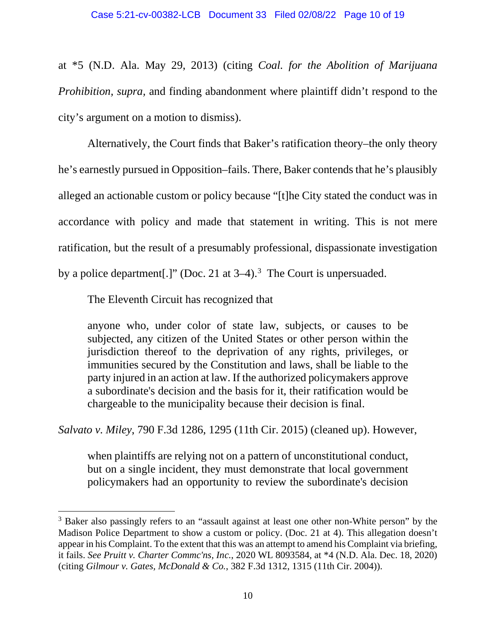at \*5 (N.D. Ala. May 29, 2013) (citing *Coal. for the Abolition of Marijuana Prohibition, supra,* and finding abandonment where plaintiff didn't respond to the city's argument on a motion to dismiss).

Alternatively, the Court finds that Baker's ratification theory–the only theory he's earnestly pursued in Opposition–fails. There, Baker contends that he's plausibly alleged an actionable custom or policy because "[t]he City stated the conduct was in accordance with policy and made that statement in writing. This is not mere ratification, but the result of a presumably professional, dispassionate investigation by a police department[.]" (Doc. 21 at  $3-4$  $3-4$ ).<sup>3</sup> The Court is unpersuaded.

The Eleventh Circuit has recognized that

anyone who, under color of state law, subjects, or causes to be subjected, any citizen of the United States or other person within the jurisdiction thereof to the deprivation of any rights, privileges, or immunities secured by the Constitution and laws, shall be liable to the party injured in an action at law. If the authorized policymakers approve a subordinate's decision and the basis for it, their ratification would be chargeable to the municipality because their decision is final.

*Salvato v. Miley*, 790 F.3d 1286, 1295 (11th Cir. 2015) (cleaned up). However,

when plaintiffs are relying not on a pattern of unconstitutional conduct, but on a single incident, they must demonstrate that local government policymakers had an opportunity to review the subordinate's decision

<span id="page-9-0"></span><sup>&</sup>lt;sup>3</sup> Baker also passingly refers to an "assault against at least one other non-White person" by the Madison Police Department to show a custom or policy. (Doc. 21 at 4). This allegation doesn't appear in his Complaint. To the extent that this was an attempt to amend his Complaint via briefing, it fails. *See Pruitt v. Charter Commc'ns, Inc.*, 2020 WL 8093584, at \*4 (N.D. Ala. Dec. 18, 2020) (citing *Gilmour v. Gates, McDonald & Co.*, 382 F.3d 1312, 1315 (11th Cir. 2004)).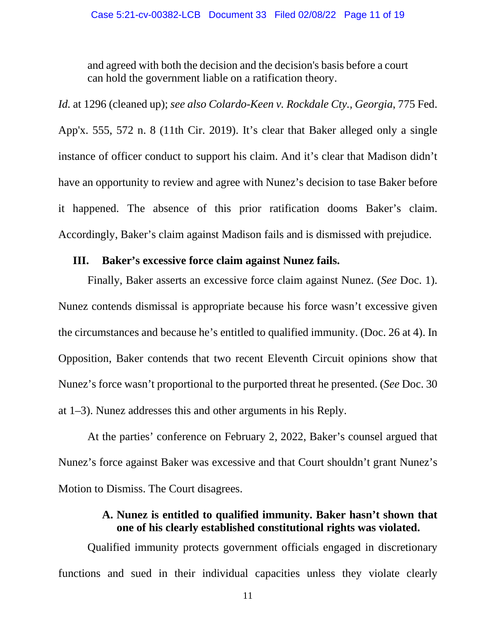and agreed with both the decision and the decision's basis before a court can hold the government liable on a ratification theory.

*Id.* at 1296 (cleaned up); *see also Colardo-Keen v. Rockdale Cty., Georgia*, 775 Fed. App'x. 555, 572 n. 8 (11th Cir. 2019). It's clear that Baker alleged only a single instance of officer conduct to support his claim. And it's clear that Madison didn't have an opportunity to review and agree with Nunez's decision to tase Baker before it happened. The absence of this prior ratification dooms Baker's claim. Accordingly, Baker's claim against Madison fails and is dismissed with prejudice.

## **III. Baker's excessive force claim against Nunez fails.**

Finally, Baker asserts an excessive force claim against Nunez. (*See* Doc. 1). Nunez contends dismissal is appropriate because his force wasn't excessive given the circumstances and because he's entitled to qualified immunity. (Doc. 26 at 4). In Opposition, Baker contends that two recent Eleventh Circuit opinions show that Nunez's force wasn't proportional to the purported threat he presented. (*See* Doc. 30 at 1–3). Nunez addresses this and other arguments in his Reply.

At the parties' conference on February 2, 2022, Baker's counsel argued that Nunez's force against Baker was excessive and that Court shouldn't grant Nunez's Motion to Dismiss. The Court disagrees.

# **A. Nunez is entitled to qualified immunity. Baker hasn't shown that one of his clearly established constitutional rights was violated.**

Qualified immunity protects government officials engaged in discretionary functions and sued in their individual capacities unless they violate clearly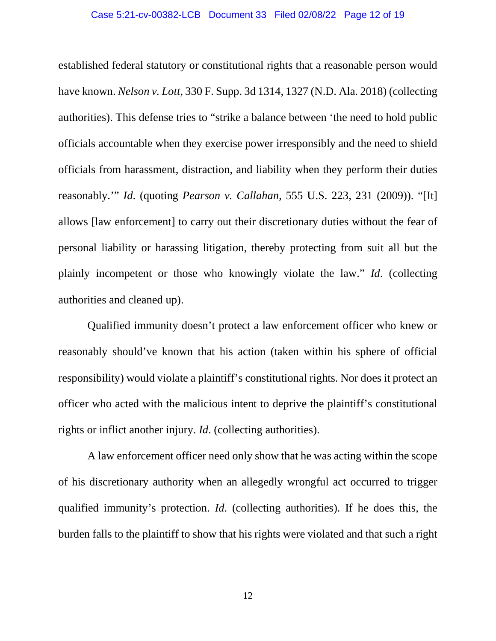### Case 5:21-cv-00382-LCB Document 33 Filed 02/08/22 Page 12 of 19

established federal statutory or constitutional rights that a reasonable person would have known. *Nelson v. Lott*, 330 F. Supp. 3d 1314, 1327 (N.D. Ala. 2018) (collecting authorities). This defense tries to "strike a balance between 'the need to hold public officials accountable when they exercise power irresponsibly and the need to shield officials from harassment, distraction, and liability when they perform their duties reasonably.'" *Id*. (quoting *Pearson v. Callahan*, 555 U.S. 223, 231 (2009)). "[It] allows [law enforcement] to carry out their discretionary duties without the fear of personal liability or harassing litigation, thereby protecting from suit all but the plainly incompetent or those who knowingly violate the law." *Id*. (collecting authorities and cleaned up).

Qualified immunity doesn't protect a law enforcement officer who knew or reasonably should've known that his action (taken within his sphere of official responsibility) would violate a plaintiff's constitutional rights. Nor does it protect an officer who acted with the malicious intent to deprive the plaintiff's constitutional rights or inflict another injury. *Id*. (collecting authorities).

A law enforcement officer need only show that he was acting within the scope of his discretionary authority when an allegedly wrongful act occurred to trigger qualified immunity's protection. *Id*. (collecting authorities). If he does this, the burden falls to the plaintiff to show that his rights were violated and that such a right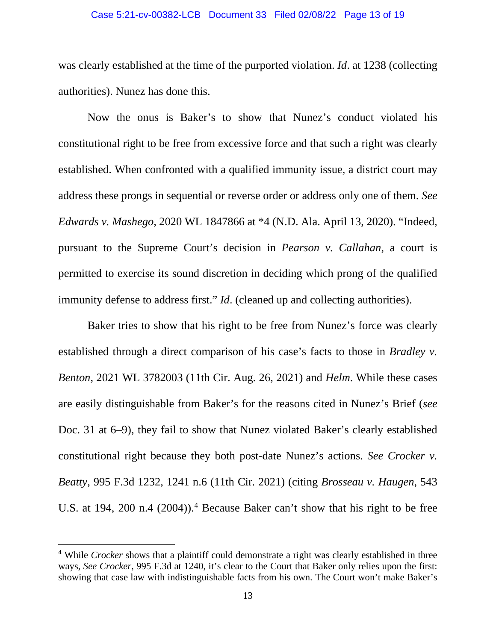#### Case 5:21-cv-00382-LCB Document 33 Filed 02/08/22 Page 13 of 19

was clearly established at the time of the purported violation. *Id*. at 1238 (collecting authorities). Nunez has done this.

Now the onus is Baker's to show that Nunez's conduct violated his constitutional right to be free from excessive force and that such a right was clearly established. When confronted with a qualified immunity issue, a district court may address these prongs in sequential or reverse order or address only one of them. *See Edwards v. Mashego*, 2020 WL 1847866 at \*4 (N.D. Ala. April 13, 2020). "Indeed, pursuant to the Supreme Court's decision in *Pearson v. Callahan*, a court is permitted to exercise its sound discretion in deciding which prong of the qualified immunity defense to address first." *Id*. (cleaned up and collecting authorities).

Baker tries to show that his right to be free from Nunez's force was clearly established through a direct comparison of his case's facts to those in *Bradley v. Benton*, 2021 WL 3782003 (11th Cir. Aug. 26, 2021) and *Helm*. While these cases are easily distinguishable from Baker's for the reasons cited in Nunez's Brief (*see*  Doc. 31 at 6–9), they fail to show that Nunez violated Baker's clearly established constitutional right because they both post-date Nunez's actions. *See Crocker v. Beatty*, 995 F.3d 1232, 1241 n.6 (11th Cir. 2021) (citing *Brosseau v. Haugen*, 543 U.S. at 194, 200 n.4 (2004)). [4](#page-12-0) Because Baker can't show that his right to be free

<span id="page-12-0"></span><sup>&</sup>lt;sup>4</sup> While *Crocker* shows that a plaintiff could demonstrate a right was clearly established in three ways, *See Crocker*, 995 F.3d at 1240, it's clear to the Court that Baker only relies upon the first: showing that case law with indistinguishable facts from his own. The Court won't make Baker's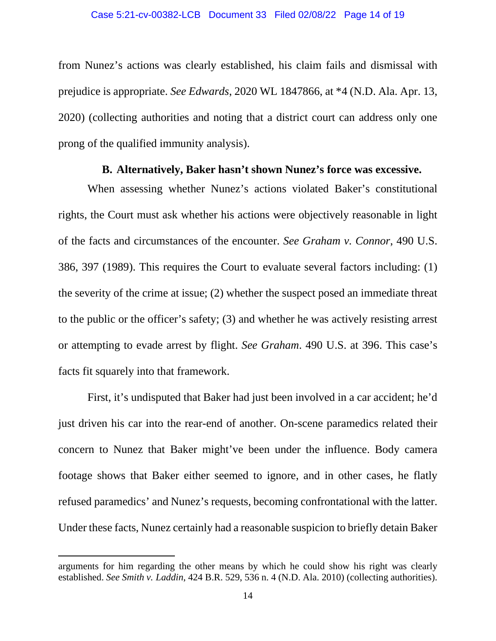from Nunez's actions was clearly established, his claim fails and dismissal with prejudice is appropriate. *See Edwards*, 2020 WL 1847866, at \*4 (N.D. Ala. Apr. 13, 2020) (collecting authorities and noting that a district court can address only one prong of the qualified immunity analysis).

## **B. Alternatively, Baker hasn't shown Nunez's force was excessive.**

When assessing whether Nunez's actions violated Baker's constitutional rights, the Court must ask whether his actions were objectively reasonable in light of the facts and circumstances of the encounter. *See Graham v. Connor*, 490 U.S. 386, 397 (1989). This requires the Court to evaluate several factors including: (1) the severity of the crime at issue; (2) whether the suspect posed an immediate threat to the public or the officer's safety; (3) and whether he was actively resisting arrest or attempting to evade arrest by flight. *See Graham*. 490 U.S. at 396. This case's facts fit squarely into that framework.

First, it's undisputed that Baker had just been involved in a car accident; he'd just driven his car into the rear-end of another. On-scene paramedics related their concern to Nunez that Baker might've been under the influence. Body camera footage shows that Baker either seemed to ignore, and in other cases, he flatly refused paramedics' and Nunez's requests, becoming confrontational with the latter. Under these facts, Nunez certainly had a reasonable suspicion to briefly detain Baker

arguments for him regarding the other means by which he could show his right was clearly established. *See Smith v. Laddin*, 424 B.R. 529, 536 n. 4 (N.D. Ala. 2010) (collecting authorities).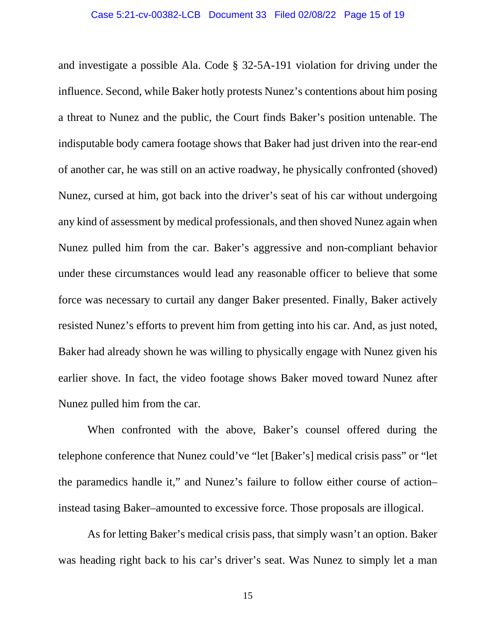and investigate a possible Ala. Code § 32-5A-191 violation for driving under the influence. Second, while Baker hotly protests Nunez's contentions about him posing a threat to Nunez and the public, the Court finds Baker's position untenable. The indisputable body camera footage shows that Baker had just driven into the rear-end of another car, he was still on an active roadway, he physically confronted (shoved) Nunez, cursed at him, got back into the driver's seat of his car without undergoing any kind of assessment by medical professionals, and then shoved Nunez again when Nunez pulled him from the car. Baker's aggressive and non-compliant behavior under these circumstances would lead any reasonable officer to believe that some force was necessary to curtail any danger Baker presented. Finally, Baker actively resisted Nunez's efforts to prevent him from getting into his car. And, as just noted, Baker had already shown he was willing to physically engage with Nunez given his earlier shove. In fact, the video footage shows Baker moved toward Nunez after Nunez pulled him from the car.

When confronted with the above, Baker's counsel offered during the telephone conference that Nunez could've "let [Baker's] medical crisis pass" or "let the paramedics handle it," and Nunez's failure to follow either course of action– instead tasing Baker–amounted to excessive force. Those proposals are illogical.

As for letting Baker's medical crisis pass, that simply wasn't an option. Baker was heading right back to his car's driver's seat. Was Nunez to simply let a man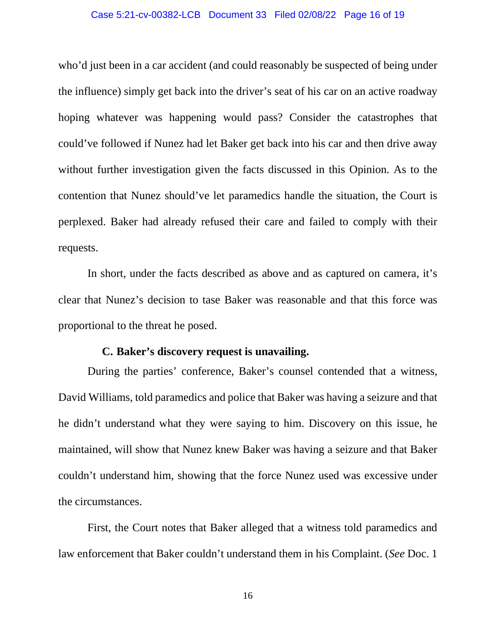### Case 5:21-cv-00382-LCB Document 33 Filed 02/08/22 Page 16 of 19

who'd just been in a car accident (and could reasonably be suspected of being under the influence) simply get back into the driver's seat of his car on an active roadway hoping whatever was happening would pass? Consider the catastrophes that could've followed if Nunez had let Baker get back into his car and then drive away without further investigation given the facts discussed in this Opinion. As to the contention that Nunez should've let paramedics handle the situation, the Court is perplexed. Baker had already refused their care and failed to comply with their requests.

In short, under the facts described as above and as captured on camera, it's clear that Nunez's decision to tase Baker was reasonable and that this force was proportional to the threat he posed.

## **C. Baker's discovery request is unavailing.**

During the parties' conference, Baker's counsel contended that a witness, David Williams, told paramedics and police that Baker was having a seizure and that he didn't understand what they were saying to him. Discovery on this issue, he maintained, will show that Nunez knew Baker was having a seizure and that Baker couldn't understand him, showing that the force Nunez used was excessive under the circumstances.

First, the Court notes that Baker alleged that a witness told paramedics and law enforcement that Baker couldn't understand them in his Complaint. (*See* Doc. 1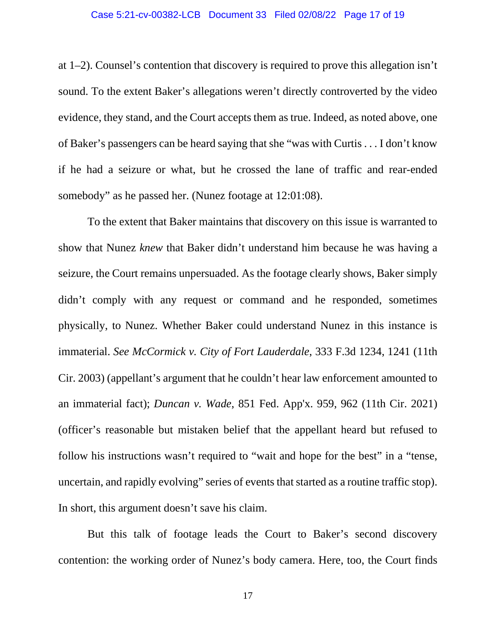### Case 5:21-cv-00382-LCB Document 33 Filed 02/08/22 Page 17 of 19

at 1–2). Counsel's contention that discovery is required to prove this allegation isn't sound. To the extent Baker's allegations weren't directly controverted by the video evidence, they stand, and the Court accepts them as true. Indeed, as noted above, one of Baker's passengers can be heard saying that she "was with Curtis . . . I don't know if he had a seizure or what, but he crossed the lane of traffic and rear-ended somebody" as he passed her. (Nunez footage at 12:01:08).

To the extent that Baker maintains that discovery on this issue is warranted to show that Nunez *knew* that Baker didn't understand him because he was having a seizure, the Court remains unpersuaded. As the footage clearly shows, Baker simply didn't comply with any request or command and he responded, sometimes physically, to Nunez. Whether Baker could understand Nunez in this instance is immaterial. *See McCormick v. City of Fort Lauderdale*, 333 F.3d 1234, 1241 (11th Cir. 2003) (appellant's argument that he couldn't hear law enforcement amounted to an immaterial fact); *Duncan v. Wade*, 851 Fed. App'x. 959, 962 (11th Cir. 2021) (officer's reasonable but mistaken belief that the appellant heard but refused to follow his instructions wasn't required to "wait and hope for the best" in a "tense, uncertain, and rapidly evolving" series of events that started as a routine traffic stop). In short, this argument doesn't save his claim.

But this talk of footage leads the Court to Baker's second discovery contention: the working order of Nunez's body camera. Here, too, the Court finds

17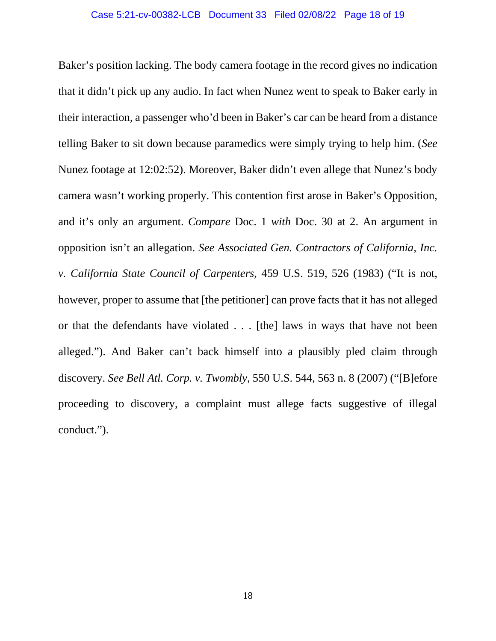### Case 5:21-cv-00382-LCB Document 33 Filed 02/08/22 Page 18 of 19

Baker's position lacking. The body camera footage in the record gives no indication that it didn't pick up any audio. In fact when Nunez went to speak to Baker early in their interaction, a passenger who'd been in Baker's car can be heard from a distance telling Baker to sit down because paramedics were simply trying to help him. (*See*  Nunez footage at 12:02:52). Moreover, Baker didn't even allege that Nunez's body camera wasn't working properly. This contention first arose in Baker's Opposition, and it's only an argument. *Compare* Doc. 1 *with* Doc. 30 at 2. An argument in opposition isn't an allegation. *See Associated Gen. Contractors of California, Inc. v. California State Council of Carpenters*, 459 U.S. 519, 526 (1983) ("It is not, however, proper to assume that [the petitioner] can prove facts that it has not alleged or that the defendants have violated . . . [the] laws in ways that have not been alleged."). And Baker can't back himself into a plausibly pled claim through discovery. *See Bell Atl. Corp. v. Twombly,* 550 U.S. 544, 563 n. 8 (2007) ("[B]efore proceeding to discovery, a complaint must allege facts suggestive of illegal conduct.").